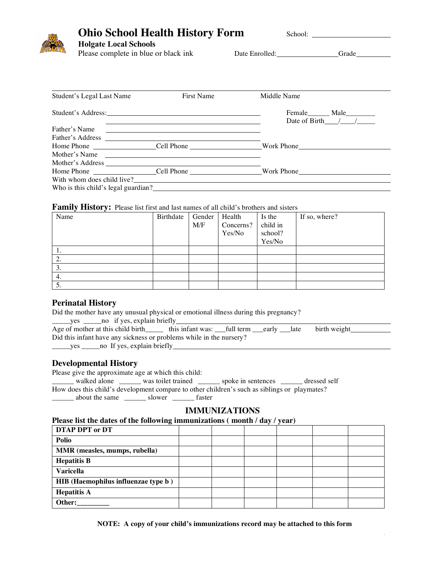## **Ohio School Health History Form** School:

# **Holgate Local Schools**

Date Enrolled: Grade

 $\hat{\mathcal{L}}$ 

| Student's Legal Last Name           | First Name                                                                                                        | Middle Name                                                   |
|-------------------------------------|-------------------------------------------------------------------------------------------------------------------|---------------------------------------------------------------|
|                                     |                                                                                                                   | Female Male<br>Date of Birth $\frac{1}{\sqrt{1-\frac{1}{2}}}$ |
| Father's Name                       | <u> 2000 - Jan James James Sandarík (f. 1918)</u><br><u> 1989 - Andrea Barbara, politikar politikar (h. 1989)</u> |                                                               |
|                                     | Father's Address                                                                                                  |                                                               |
|                                     |                                                                                                                   |                                                               |
|                                     | Mother's Name                                                                                                     |                                                               |
|                                     |                                                                                                                   |                                                               |
|                                     |                                                                                                                   |                                                               |
|                                     | With whom does child live?                                                                                        |                                                               |
| Who is this child's legal guardian? |                                                                                                                   |                                                               |

#### **Family History:** Please list first and last names of all child's brothers and sisters

| Name | Birthdate | Gender | Health    | Is the   | If so, where? |
|------|-----------|--------|-----------|----------|---------------|
|      |           | M/F    | Concerns? | child in |               |
|      |           |        | Yes/No    | school?  |               |
|      |           |        |           | Yes/No   |               |
| . .  |           |        |           |          |               |
| 2.   |           |        |           |          |               |
| 3.   |           |        |           |          |               |
| 4.   |           |        |           |          |               |
| 5.   |           |        |           |          |               |

### **Perinatal History**

| Did the mother have any unusual physical or emotional illness during this pregnancy? |
|--------------------------------------------------------------------------------------|
|--------------------------------------------------------------------------------------|

| ves |  |  | no if yes, explain briefly |  |
|-----|--|--|----------------------------|--|
|-----|--|--|----------------------------|--|

| Age of mother at this child birth                                   | this infant was: ___full term ___early ___late birth weight |  |  |
|---------------------------------------------------------------------|-------------------------------------------------------------|--|--|
| Did this infant have any sickness or problems while in the nursery? |                                                             |  |  |
| ________ yes _______ no If yes, explain briefly____                 |                                                             |  |  |

## **Developmental History**

Please give the approximate age at which this child: \_\_\_\_\_\_ walked alone \_\_\_\_\_\_ was toilet trained \_\_\_\_\_\_ spoke in sentences \_\_\_\_\_\_ dressed self How does this child's development compare to other children's such as siblings or playmates? \_\_\_\_\_\_ about the same \_\_\_\_\_\_ slower \_\_\_\_\_\_ faster

## **IMMUNIZATIONS**

#### **Please list the dates of the following immunizations ( month / day / year)**

| <b>DTAP DPT or DT</b>               |  |  |  |
|-------------------------------------|--|--|--|
| <b>Polio</b>                        |  |  |  |
| MMR (measles, mumps, rubella)       |  |  |  |
| <b>Hepatitis B</b>                  |  |  |  |
| <b>Varicella</b>                    |  |  |  |
| HIB (Haemophilus influenzae type b) |  |  |  |
| <b>Hepatitis A</b>                  |  |  |  |
| Other:                              |  |  |  |

**NOTE: A copy of your child's immunizations record may be attached to this form**